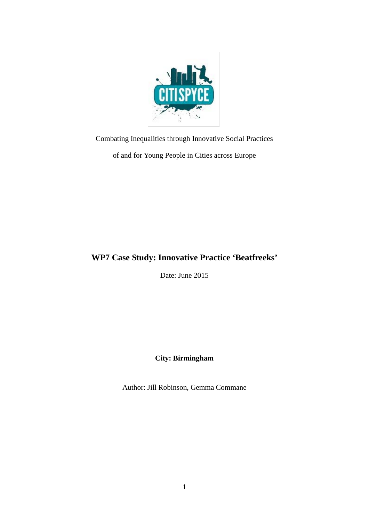

Combating Inequalities through Innovative Social Practices

of and for Young People in Cities across Europe

# **WP7 Case Study: Innovative Practice 'Beatfreeks'**

Date: June 2015

**City: Birmingham**

Author: Jill Robinson, Gemma Commane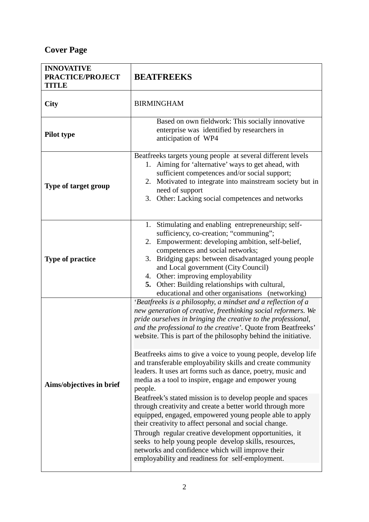# **Cover Page**

| <b>INNOVATIVE</b><br>PRACTICE/PROJECT<br><b>TITLE</b> | <b>BEATFREEKS</b>                                                                                                                                                                                                                                                                                                                                                                                                                                                                                                                                                                                                                                                                                                                        |
|-------------------------------------------------------|------------------------------------------------------------------------------------------------------------------------------------------------------------------------------------------------------------------------------------------------------------------------------------------------------------------------------------------------------------------------------------------------------------------------------------------------------------------------------------------------------------------------------------------------------------------------------------------------------------------------------------------------------------------------------------------------------------------------------------------|
| City                                                  | <b>BIRMINGHAM</b>                                                                                                                                                                                                                                                                                                                                                                                                                                                                                                                                                                                                                                                                                                                        |
| Pilot type                                            | Based on own fieldwork: This socially innovative<br>enterprise was identified by researchers in<br>anticipation of WP4                                                                                                                                                                                                                                                                                                                                                                                                                                                                                                                                                                                                                   |
| <b>Type of target group</b>                           | Beatfreeks targets young people at several different levels<br>Aiming for 'alternative' ways to get ahead, with<br>1.<br>sufficient competences and/or social support;<br>2. Motivated to integrate into mainstream society but in<br>need of support<br>3. Other: Lacking social competences and networks                                                                                                                                                                                                                                                                                                                                                                                                                               |
| <b>Type of practice</b>                               | 1. Stimulating and enabling entrepreneurship; self-<br>sufficiency, co-creation; "communing";<br>2. Empowerment: developing ambition, self-belief,<br>competences and social networks;<br>Bridging gaps: between disadvantaged young people<br>3.<br>and Local government (City Council)<br>4. Other: improving employability<br>5. Other: Building relationships with cultural,<br>educational and other organisations (networking)                                                                                                                                                                                                                                                                                                     |
| Aims/objectives in brief                              | 'Beatfreeks is a philosophy, a mindset and a reflection of a<br>new generation of creative, freethinking social reformers. We<br>pride ourselves in bringing the creative to the professional,<br>and the professional to the creative'. Quote from Beatfreeks'<br>website. This is part of the philosophy behind the initiative.                                                                                                                                                                                                                                                                                                                                                                                                        |
|                                                       | Beatfreeks aims to give a voice to young people, develop life<br>and transferable employability skills and create community<br>leaders. It uses art forms such as dance, poetry, music and<br>media as a tool to inspire, engage and empower young<br>people.<br>Beatfreek's stated mission is to develop people and spaces<br>through creativity and create a better world through more<br>equipped, engaged, empowered young people able to apply<br>their creativity to affect personal and social change.<br>Through regular creative development opportunities, it<br>seeks to help young people develop skills, resources,<br>networks and confidence which will improve their<br>employability and readiness for self-employment. |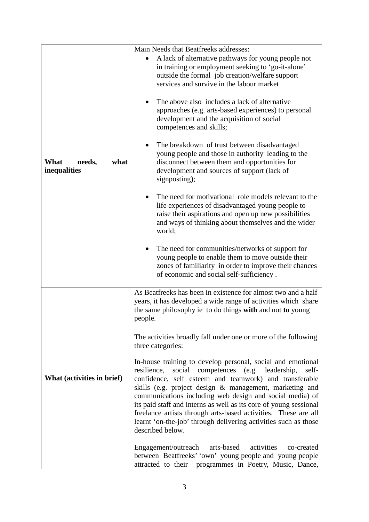|                                        | Main Needs that Beatfreeks addresses:<br>A lack of alternative pathways for young people not                                                                                                                                                                                                                                                                                                                                                                                                                                               |
|----------------------------------------|--------------------------------------------------------------------------------------------------------------------------------------------------------------------------------------------------------------------------------------------------------------------------------------------------------------------------------------------------------------------------------------------------------------------------------------------------------------------------------------------------------------------------------------------|
| what<br>What<br>needs,<br>inequalities | in training or employment seeking to 'go-it-alone'<br>outside the formal job creation/welfare support<br>services and survive in the labour market                                                                                                                                                                                                                                                                                                                                                                                         |
|                                        | The above also includes a lack of alternative<br>approaches (e.g. arts-based experiences) to personal<br>development and the acquisition of social<br>competences and skills;                                                                                                                                                                                                                                                                                                                                                              |
|                                        | The breakdown of trust between disadvantaged<br>young people and those in authority leading to the<br>disconnect between them and opportunities for<br>development and sources of support (lack of<br>signposting);                                                                                                                                                                                                                                                                                                                        |
|                                        | The need for motivational role models relevant to the<br>life experiences of disadvantaged young people to<br>raise their aspirations and open up new possibilities<br>and ways of thinking about themselves and the wider<br>world;                                                                                                                                                                                                                                                                                                       |
|                                        | The need for communities/networks of support for<br>young people to enable them to move outside their<br>zones of familiarity in order to improve their chances<br>of economic and social self-sufficiency.                                                                                                                                                                                                                                                                                                                                |
| What (activities in brief)             | As Beatfreeks has been in existence for almost two and a half<br>years, it has developed a wide range of activities which share<br>the same philosophy ie to do things with and not to young<br>people.                                                                                                                                                                                                                                                                                                                                    |
|                                        | The activities broadly fall under one or more of the following<br>three categories:                                                                                                                                                                                                                                                                                                                                                                                                                                                        |
|                                        | In-house training to develop personal, social and emotional<br>resilience,<br>social competences (e.g. leadership,<br>self-<br>confidence, self esteem and teamwork) and transferable<br>skills (e.g. project design & management, marketing and<br>communications including web design and social media) of<br>its paid staff and interns as well as its core of young sessional<br>freelance artists through arts-based activities. These are all<br>learnt 'on-the-job' through delivering activities such as those<br>described below. |
|                                        | Engagement/outreach<br>arts-based<br>activities<br>co-created<br>between Beatfreeks' 'own' young people and young people<br>attracted to their programmes in Poetry, Music, Dance,                                                                                                                                                                                                                                                                                                                                                         |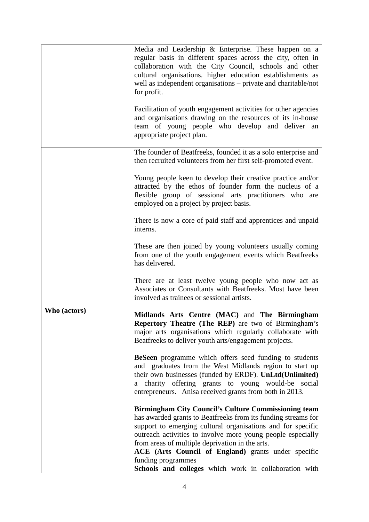|              | Media and Leadership & Enterprise. These happen on a<br>regular basis in different spaces across the city, often in<br>collaboration with the City Council, schools and other<br>cultural organisations. higher education establishments as<br>well as independent organisations – private and charitable/not<br>for profit.<br>Facilitation of youth engagement activities for other agencies<br>and organisations drawing on the resources of its in-house<br>team of young people who develop and deliver an<br>appropriate project plan. |
|--------------|----------------------------------------------------------------------------------------------------------------------------------------------------------------------------------------------------------------------------------------------------------------------------------------------------------------------------------------------------------------------------------------------------------------------------------------------------------------------------------------------------------------------------------------------|
| Who (actors) | The founder of Beatfreeks, founded it as a solo enterprise and<br>then recruited volunteers from her first self-promoted event.                                                                                                                                                                                                                                                                                                                                                                                                              |
|              | Young people keen to develop their creative practice and/or<br>attracted by the ethos of founder form the nucleus of a<br>flexible group of sessional arts practitioners who are<br>employed on a project by project basis.                                                                                                                                                                                                                                                                                                                  |
|              | There is now a core of paid staff and apprentices and unpaid<br>interns.                                                                                                                                                                                                                                                                                                                                                                                                                                                                     |
|              | These are then joined by young volunteers usually coming<br>from one of the youth engagement events which Beatfreeks<br>has delivered.                                                                                                                                                                                                                                                                                                                                                                                                       |
|              | There are at least twelve young people who now act as<br>Associates or Consultants with Beatfreeks. Most have been<br>involved as trainees or sessional artists.                                                                                                                                                                                                                                                                                                                                                                             |
|              | Midlands Arts Centre (MAC) and The Birmingham<br><b>Repertory Theatre (The REP)</b> are two of Birmingham's<br>major arts organisations which regularly collaborate with<br>Beatfreeks to deliver youth arts/engagement projects.                                                                                                                                                                                                                                                                                                            |
|              | <b>BeSeen</b> programme which offers seed funding to students<br>and graduates from the West Midlands region to start up<br>their own businesses (funded by ERDF). UnLtd(Unlimited)<br>a charity offering grants to young would-be social<br>entrepreneurs. Anisa received grants from both in 2013.                                                                                                                                                                                                                                         |
|              | <b>Birmingham City Council's Culture Commissioning team</b><br>has awarded grants to Beatfreeks from its funding streams for<br>support to emerging cultural organisations and for specific<br>outreach activities to involve more young people especially<br>from areas of multiple deprivation in the arts.<br>ACE (Arts Council of England) grants under specific<br>funding programmes<br>Schools and colleges which work in collaboration with                                                                                          |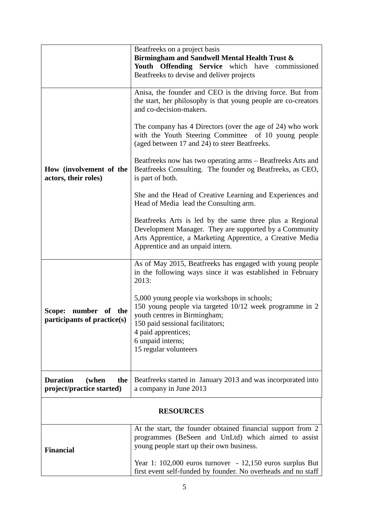|                                                 | Beatfreeks on a project basis                                                                                                  |  |
|-------------------------------------------------|--------------------------------------------------------------------------------------------------------------------------------|--|
|                                                 | Birmingham and Sandwell Mental Health Trust &                                                                                  |  |
|                                                 | Youth Offending Service which have<br>commissioned<br>Beatfreeks to devise and deliver projects                                |  |
|                                                 |                                                                                                                                |  |
|                                                 | Anisa, the founder and CEO is the driving force. But from                                                                      |  |
|                                                 | the start, her philosophy is that young people are co-creators                                                                 |  |
|                                                 | and co-decision-makers.                                                                                                        |  |
|                                                 | The company has 4 Directors (over the age of 24) who work                                                                      |  |
|                                                 | with the Youth Steering Committee of 10 young people<br>(aged between 17 and 24) to steer Beatfreeks.                          |  |
|                                                 |                                                                                                                                |  |
| How (involvement of the<br>actors, their roles) | Beatfreeks now has two operating arms – Beatfreeks Arts and<br>Beatfreeks Consulting. The founder og Beatfreeks, as CEO,       |  |
|                                                 | is part of both.                                                                                                               |  |
|                                                 | She and the Head of Creative Learning and Experiences and                                                                      |  |
|                                                 | Head of Media lead the Consulting arm.                                                                                         |  |
|                                                 | Beatfreeks Arts is led by the same three plus a Regional                                                                       |  |
|                                                 | Development Manager. They are supported by a Community                                                                         |  |
|                                                 | Arts Apprentice, a Marketing Apprentice, a Creative Media<br>Apprentice and an unpaid intern.                                  |  |
|                                                 |                                                                                                                                |  |
|                                                 | As of May 2015, Beatfreeks has engaged with young people<br>in the following ways since it was established in February         |  |
|                                                 | 2013:                                                                                                                          |  |
|                                                 | 5,000 young people via workshops in schools;                                                                                   |  |
| number<br>Scope:<br>of<br>the                   | 150 young people via targeted 10/12 week programme in 2                                                                        |  |
| participants of practice(s)                     | youth centres in Birmingham;<br>150 paid sessional facilitators;                                                               |  |
|                                                 | 4 paid apprentices;                                                                                                            |  |
|                                                 | 6 unpaid interns;                                                                                                              |  |
|                                                 | 15 regular volunteers                                                                                                          |  |
|                                                 |                                                                                                                                |  |
| <b>Duration</b><br>(when<br>the                 | Beatfreeks started in January 2013 and was incorporated into                                                                   |  |
| project/practice started)                       | a company in June 2013                                                                                                         |  |
| <b>RESOURCES</b>                                |                                                                                                                                |  |
|                                                 |                                                                                                                                |  |
|                                                 | At the start, the founder obtained financial support from 2<br>programmes (BeSeen and UnLtd) which aimed to assist             |  |
| <b>Financial</b>                                | young people start up their own business.                                                                                      |  |
|                                                 |                                                                                                                                |  |
|                                                 | Year 1: $102,000$ euros turnover - $12,150$ euros surplus But<br>first event self-funded by founder. No overheads and no staff |  |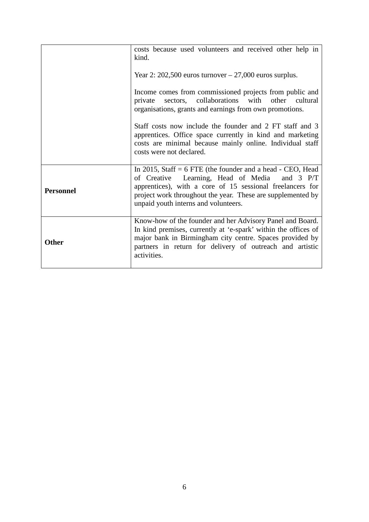|                  | costs because used volunteers and received other help in<br>kind.                                                                                                                                                                                                                 |
|------------------|-----------------------------------------------------------------------------------------------------------------------------------------------------------------------------------------------------------------------------------------------------------------------------------|
|                  | Year 2: $202,500$ euros turnover $-27,000$ euros surplus.                                                                                                                                                                                                                         |
|                  | Income comes from commissioned projects from public and<br>sectors, collaborations with other cultural<br>private<br>organisations, grants and earnings from own promotions.                                                                                                      |
|                  | Staff costs now include the founder and 2 FT staff and 3<br>apprentices. Office space currently in kind and marketing<br>costs are minimal because mainly online. Individual staff<br>costs were not declared.                                                                    |
| <b>Personnel</b> | In 2015, Staff $= 6$ FTE (the founder and a head - CEO, Head<br>of Creative Learning, Head of Media and 3 P/T<br>apprentices), with a core of 15 sessional freelancers for<br>project work throughout the year. These are supplemented by<br>unpaid youth interns and volunteers. |
| <b>Other</b>     | Know-how of the founder and her Advisory Panel and Board.<br>In kind premises, currently at 'e-spark' within the offices of<br>major bank in Birmingham city centre. Spaces provided by<br>partners in return for delivery of outreach and artistic<br>activities.                |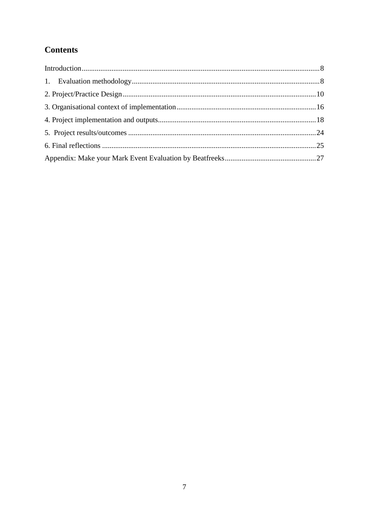# **Contents**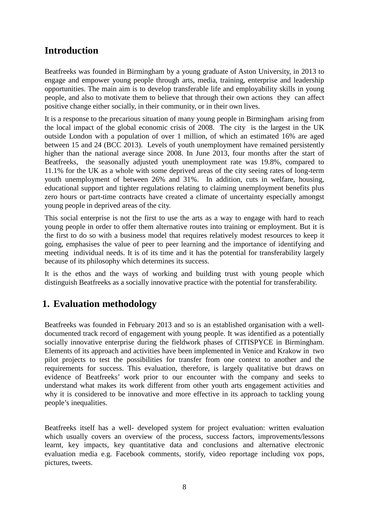# <span id="page-7-0"></span>**Introduction**

Beatfreeks was founded in Birmingham by a young graduate of Aston University, in 2013 to engage and empower young people through arts, media, training, enterprise and leadership opportunities. The main aim is to develop transferable life and employability skills in young people, and also to motivate them to believe that through their own actions they can affect positive change either socially, in their community, or in their own lives.

It is a response to the precarious situation of many young people in Birmingham arising from the local impact of the global economic crisis of 2008. The city is the largest in the UK outside London with a population of over 1 million, of which an estimated 16% are aged between 15 and 24 (BCC 2013). Levels of youth unemployment have remained persistently higher than the national average since 2008. In June 2013, four months after the start of Beatfreeks, the seasonally adjusted youth unemployment rate was 19.8%, compared to 11.1% for the UK as a whole with some deprived areas of the city seeing rates of long-term youth unemployment of between 26% and 31%. In addition, cuts in welfare, housing, educational support and tighter regulations relating to claiming unemployment benefits plus zero hours or part-time contracts have created a climate of uncertainty especially amongst young people in deprived areas of the city.

This social enterprise is not the first to use the arts as a way to engage with hard to reach young people in order to offer them alternative routes into training or employment. But it is the first to do so with a business model that requires relatively modest resources to keep it going, emphasises the value of peer to peer learning and the importance of identifying and meeting individual needs. It is of its time and it has the potential for transferability largely because of its philosophy which determines its success.

It is the ethos and the ways of working and building trust with young people which distinguish Beatfreeks as a socially innovative practice with the potential for transferability.

# <span id="page-7-1"></span>**1. Evaluation methodology**

Beatfreeks was founded in February 2013 and so is an established organisation with a welldocumented track record of engagement with young people. It was identified as a potentially socially innovative enterprise during the fieldwork phases of CITISPYCE in Birmingham. Elements of its approach and activities have been implemented in Venice and Krakow in two pilot projects to test the possibilities for transfer from one context to another and the requirements for success. This evaluation, therefore, is largely qualitative but draws on evidence of Beatfreeks' work prior to our encounter with the company and seeks to understand what makes its work different from other youth arts engagement activities and why it is considered to be innovative and more effective in its approach to tackling young people's inequalities.

Beatfreeks itself has a well- developed system for project evaluation: written evaluation which usually covers an overview of the process, success factors, improvements/lessons learnt, key impacts, key quantitative data and conclusions and alternative electronic evaluation media e.g. Facebook comments, storify, video reportage including vox pops, pictures, tweets.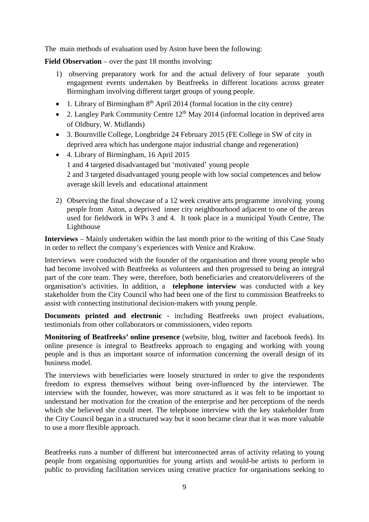The main methods of evaluation used by Aston have been the following:

**Field Observation** – over the past 18 months involving:

- 1) observing preparatory work for and the actual delivery of four separate youth engagement events undertaken by Beatfreeks in different locations across greater Birmingham involving different target groups of young people.
- 1. Library of Birmingham  $8<sup>th</sup>$  April 2014 (formal location in the city centre)
- 2. Langley Park Community Centre  $12<sup>th</sup>$  May 2014 (informal location in deprived area of Oldbury, W. Midlands)
- 3. Bournville College, Longbridge 24 February 2015 (FE College in SW of city in deprived area which has undergone major industrial change and regeneration)
- 4. Library of Birmingham, 16 April 2015 1 and 4 targeted disadvantaged but 'motivated' young people 2 and 3 targeted disadvantaged young people with low social competences and below average skill levels and educational attainment
- 2) Observing the final showcase of a 12 week creative arts programme involving young people from Aston, a deprived inner city neighbourhood adjacent to one of the areas used for fieldwork in WPs 3 and 4. It took place in a municipal Youth Centre, The Lighthouse

**Interviews** – Mainly undertaken within the last month prior to the writing of this Case Study in order to reflect the company's experiences with Venice and Krakow.

Interviews were conducted with the founder of the organisation and three young people who had become involved with Beatfreeks as volunteers and then progressed to being an integral part of the core team. They were, therefore, both beneficiaries and creators/deliverers of the organisation's activities. In addition, a **telephone interview** was conducted with a key stakeholder from the City Council who had been one of the first to commission Beatfreeks to assist with connecting institutional decision-makers with young people.

**Documents printed and electronic** - including Beatfreeks own project evaluations, testimonials from other collaborators or commissioners, video reports

**Monitoring of Beatfreeks' online presence** (website, blog, twitter and facebook feeds). Its online presence is integral to Beatfreeks approach to engaging and working with young people and is thus an important source of information concerning the overall design of its business model.

The interviews with beneficiaries were loosely structured in order to give the respondents freedom to express themselves without being over-influenced by the interviewer. The interview with the founder, however, was more structured as it was felt to be important to understand her motivation for the creation of the enterprise and her perceptions of the needs which she believed she could meet. The telephone interview with the key stakeholder from the City Council began in a structured way but it soon became clear that it was more valuable to use a more flexible approach.

Beatfreeks runs a number of different but interconnected areas of activity relating to young people from organising opportunities for young artists and would-be artists to perform in public to providing facilitation services using creative practice for organisations seeking to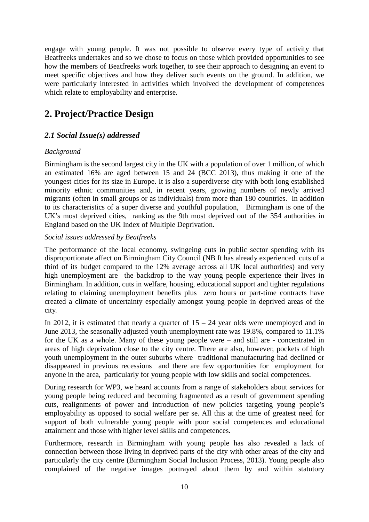engage with young people. It was not possible to observe every type of activity that Beatfreeks undertakes and so we chose to focus on those which provided opportunities to see how the members of Beatfreeks work together, to see their approach to designing an event to meet specific objectives and how they deliver such events on the ground. In addition, we were particularly interested in activities which involved the development of competences which relate to employability and enterprise.

# <span id="page-9-0"></span>**2. Project/Practice Design**

# *2.1 Social Issue(s) addressed*

### *Background*

Birmingham is the second largest city in the UK with a population of over 1 million, of which an estimated 16% are aged between 15 and 24 (BCC 2013), thus making it one of the youngest cities for its size in Europe. It is also a superdiverse city with both long established minority ethnic communities and, in recent years, growing numbers of newly arrived migrants (often in small groups or as individuals) from more than 180 countries. In addition to its characteristics of a super diverse and youthful population, Birmingham is one of the UK's most deprived cities, ranking as the 9th most deprived out of the 354 authorities in England based on the UK Index of Multiple Deprivation.

### *Social issues addressed by Beatfreeks*

The performance of the local economy, swingeing cuts in public sector spending with its disproportionate affect on Birmingham City Council (NB It has already experienced cuts of a third of its budget compared to the 12% average across all UK local authorities) and very high unemployment are the backdrop to the way young people experience their lives in Birmingham. In addition, cuts in welfare, housing, educational support and tighter regulations relating to claiming unemployment benefits plus zero hours or part-time contracts have created a climate of uncertainty especially amongst young people in deprived areas of the city.

In 2012, it is estimated that nearly a quarter of  $15 - 24$  year olds were unemployed and in June 2013, the seasonally adjusted youth unemployment rate was 19.8%, compared to 11.1% for the UK as a whole. Many of these young people were – and still are - concentrated in areas of high deprivation close to the city centre. There are also, however, pockets of high youth unemployment in the outer suburbs where traditional manufacturing had declined or disappeared in previous recessions and there are few opportunities for employment for anyone in the area, particularly for young people with low skills and social competences.

During research for WP3, we heard accounts from a range of stakeholders about services for young people being reduced and becoming fragmented as a result of government spending cuts, realignments of power and introduction of new policies targeting young people's employability as opposed to social welfare per se. All this at the time of greatest need for support of both vulnerable young people with poor social competences and educational attainment and those with higher level skills and competences.

Furthermore, research in Birmingham with young people has also revealed a lack of connection between those living in deprived parts of the city with other areas of the city and particularly the city centre (Birmingham Social Inclusion Process, 2013). Young people also complained of the negative images portrayed about them by and within statutory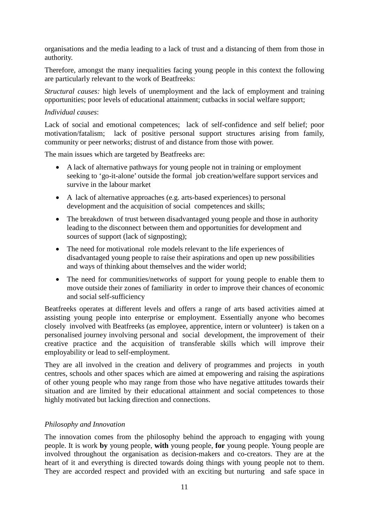organisations and the media leading to a lack of trust and a distancing of them from those in authority.

Therefore, amongst the many inequalities facing young people in this context the following are particularly relevant to the work of Beatfreeks:

*Structural causes:* high levels of unemployment and the lack of employment and training opportunities; poor levels of educational attainment; cutbacks in social welfare support;

### *Individual causes*:

Lack of social and emotional competences; lack of self-confidence and self belief; poor motivation/fatalism; lack of positive personal support structures arising from family, community or peer networks; distrust of and distance from those with power.

The main issues which are targeted by Beatfreeks are:

- A lack of alternative pathways for young people not in training or employment seeking to 'go-it-alone' outside the formal job creation/welfare support services and survive in the labour market
- A lack of alternative approaches (e.g. arts-based experiences) to personal development and the acquisition of social competences and skills;
- The breakdown of trust between disadvantaged young people and those in authority leading to the disconnect between them and opportunities for development and sources of support (lack of signposting);
- The need for motivational role models relevant to the life experiences of disadvantaged young people to raise their aspirations and open up new possibilities and ways of thinking about themselves and the wider world;
- The need for communities/networks of support for young people to enable them to move outside their zones of familiarity in order to improve their chances of economic and social self-sufficiency

Beatfreeks operates at different levels and offers a range of arts based activities aimed at assisting young people into enterprise or employment. Essentially anyone who becomes closely involved with Beatfreeks (as employee, apprentice, intern or volunteer) is taken on a personalised journey involving personal and social development, the improvement of their creative practice and the acquisition of transferable skills which will improve their employability or lead to self-employment.

They are all involved in the creation and delivery of programmes and projects in youth centres, schools and other spaces which are aimed at empowering and raising the aspirations of other young people who may range from those who have negative attitudes towards their situation and are limited by their educational attainment and social competences to those highly motivated but lacking direction and connections.

### *Philosophy and Innovation*

The innovation comes from the philosophy behind the approach to engaging with young people. It is work **by** young people, **with** young people, **for** young people. Young people are involved throughout the organisation as decision-makers and co-creators. They are at the heart of it and everything is directed towards doing things with young people not to them. They are accorded respect and provided with an exciting but nurturing and safe space in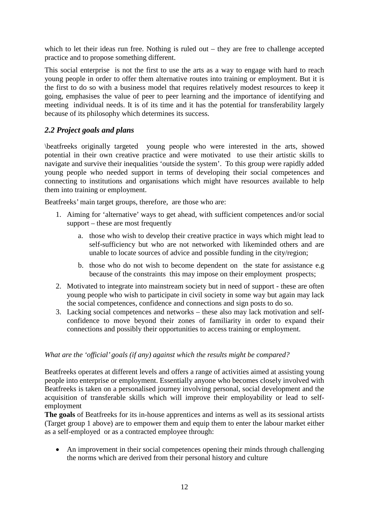which to let their ideas run free. Nothing is ruled out – they are free to challenge accepted practice and to propose something different.

This social enterprise is not the first to use the arts as a way to engage with hard to reach young people in order to offer them alternative routes into training or employment. But it is the first to do so with a business model that requires relatively modest resources to keep it going, emphasises the value of peer to peer learning and the importance of identifying and meeting individual needs. It is of its time and it has the potential for transferability largely because of its philosophy which determines its success.

## *2.2 Project goals and plans*

\beatfreeks originally targeted young people who were interested in the arts, showed potential in their own creative practice and were motivated to use their artistic skills to navigate and survive their inequalities 'outside the system'. To this group were rapidly added young people who needed support in terms of developing their social competences and connecting to institutions and organisations which might have resources available to help them into training or employment.

Beatfreeks' main target groups, therefore, are those who are:

- 1. Aiming for 'alternative' ways to get ahead, with sufficient competences and/or social support – these are most frequently
	- a. those who wish to develop their creative practice in ways which might lead to self-sufficiency but who are not networked with likeminded others and are unable to locate sources of advice and possible funding in the city/region;
	- b. those who do not wish to become dependent on the state for assistance e.g because of the constraints this may impose on their employment prospects;
- 2. Motivated to integrate into mainstream society but in need of support these are often young people who wish to participate in civil society in some way but again may lack the social competences, confidence and connections and sign posts to do so.
- 3. Lacking social competences and networks these also may lack motivation and selfconfidence to move beyond their zones of familiarity in order to expand their connections and possibly their opportunities to access training or employment.

### *What are the 'official' goals (if any) against which the results might be compared?*

Beatfreeks operates at different levels and offers a range of activities aimed at assisting young people into enterprise or employment. Essentially anyone who becomes closely involved with Beatfreeks is taken on a personalised journey involving personal, social development and the acquisition of transferable skills which will improve their employability or lead to selfemployment

**The goals** of Beatfreeks for its in-house apprentices and interns as well as its sessional artists (Target group 1 above) are to empower them and equip them to enter the labour market either as a self-employed or as a contracted employee through:

• An improvement in their social competences opening their minds through challenging the norms which are derived from their personal history and culture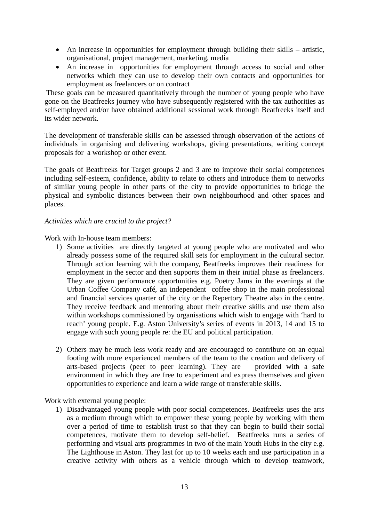- An increase in opportunities for employment through building their skills artistic, organisational, project management, marketing, media
- An increase in opportunities for employment through access to social and other networks which they can use to develop their own contacts and opportunities for employment as freelancers or on contract

These goals can be measured quantitatively through the number of young people who have gone on the Beatfreeks journey who have subsequently registered with the tax authorities as self-employed and/or have obtained additional sessional work through Beatfreeks itself and its wider network.

The development of transferable skills can be assessed through observation of the actions of individuals in organising and delivering workshops, giving presentations, writing concept proposals for a workshop or other event.

The goals of Beatfreeks for Target groups 2 and 3 are to improve their social competences including self-esteem, confidence, ability to relate to others and introduce them to networks of similar young people in other parts of the city to provide opportunities to bridge the physical and symbolic distances between their own neighbourhood and other spaces and places.

### *Activities which are crucial to the project?*

Work with In-house team members:

- 1) Some activities are directly targeted at young people who are motivated and who already possess some of the required skill sets for employment in the cultural sector. Through action learning with the company, Beatfreeks improves their readiness for employment in the sector and then supports them in their initial phase as freelancers. They are given performance opportunities e.g. Poetry Jams in the evenings at the Urban Coffee Company café, an independent coffee shop in the main professional and financial services quarter of the city or the Repertory Theatre also in the centre. They receive feedback and mentoring about their creative skills and use them also within workshops commissioned by organisations which wish to engage with 'hard to reach' young people. E.g. Aston University's series of events in 2013, 14 and 15 to engage with such young people re: the EU and political participation.
- 2) Others may be much less work ready and are encouraged to contribute on an equal footing with more experienced members of the team to the creation and delivery of arts-based projects (peer to peer learning). They are provided with a safe environment in which they are free to experiment and express themselves and given opportunities to experience and learn a wide range of transferable skills.

Work with external young people:

1) Disadvantaged young people with poor social competences. Beatfreeks uses the arts as a medium through which to empower these young people by working with them over a period of time to establish trust so that they can begin to build their social competences, motivate them to develop self-belief. Beatfreeks runs a series of performing and visual arts programmes in two of the main Youth Hubs in the city e.g. The Lighthouse in Aston. They last for up to 10 weeks each and use participation in a creative activity with others as a vehicle through which to develop teamwork,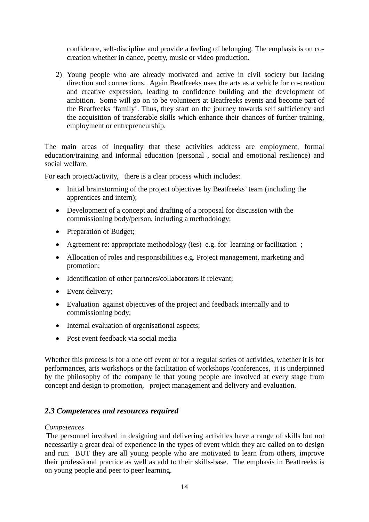confidence, self-discipline and provide a feeling of belonging. The emphasis is on cocreation whether in dance, poetry, music or video production.

2) Young people who are already motivated and active in civil society but lacking direction and connections. Again Beatfreeks uses the arts as a vehicle for co-creation and creative expression, leading to confidence building and the development of ambition. Some will go on to be volunteers at Beatfreeks events and become part of the Beatfreeks 'family'. Thus, they start on the journey towards self sufficiency and the acquisition of transferable skills which enhance their chances of further training, employment or entrepreneurship.

The main areas of inequality that these activities address are employment, formal education/training and informal education (personal , social and emotional resilience) and social welfare.

For each project/activity, there is a clear process which includes:

- Initial brainstorming of the project objectives by Beatfreeks' team (including the apprentices and intern);
- Development of a concept and drafting of a proposal for discussion with the commissioning body/person, including a methodology;
- Preparation of Budget;
- Agreement re: appropriate methodology (ies) e.g. for learning or facilitation;
- Allocation of roles and responsibilities e.g. Project management, marketing and promotion;
- Identification of other partners/collaborators if relevant;
- Event delivery;
- Evaluation against objectives of the project and feedback internally and to commissioning body;
- Internal evaluation of organisational aspects;
- Post event feedback via social media

Whether this process is for a one off event or for a regular series of activities, whether it is for performances, arts workshops or the facilitation of workshops /conferences, it is underpinned by the philosophy of the company ie that young people are involved at every stage from concept and design to promotion, project management and delivery and evaluation.

### *2.3 Competences and resources required*

### *Competences*

The personnel involved in designing and delivering activities have a range of skills but not necessarily a great deal of experience in the types of event which they are called on to design and run. BUT they are all young people who are motivated to learn from others, improve their professional practice as well as add to their skills-base. The emphasis in Beatfreeks is on young people and peer to peer learning.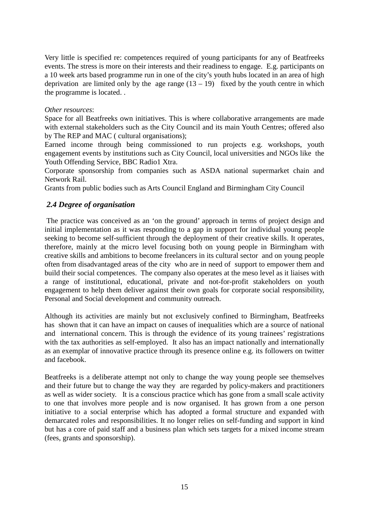Very little is specified re: competences required of young participants for any of Beatfreeks events. The stress is more on their interests and their readiness to engage. E.g. participants on a 10 week arts based programme run in one of the city's youth hubs located in an area of high deprivation are limited only by the age range  $(13 - 19)$  fixed by the youth centre in which the programme is located. .

### *Other resources*:

Space for all Beatfreeks own initiatives. This is where collaborative arrangements are made with external stakeholders such as the City Council and its main Youth Centres; offered also by The REP and MAC ( cultural organisations);

Earned income through being commissioned to run projects e.g. workshops, youth engagement events by institutions such as City Council, local universities and NGOs like the Youth Offending Service, BBC Radio1 Xtra.

Corporate sponsorship from companies such as ASDA national supermarket chain and Network Rail.

Grants from public bodies such as Arts Council England and Birmingham City Council

## *2.4 Degree of organisation*

The practice was conceived as an 'on the ground' approach in terms of project design and initial implementation as it was responding to a gap in support for individual young people seeking to become self-sufficient through the deployment of their creative skills. It operates, therefore, mainly at the micro level focusing both on young people in Birmingham with creative skills and ambitions to become freelancers in its cultural sector and on young people often from disadvantaged areas of the city who are in need of support to empower them and build their social competences. The company also operates at the meso level as it liaises with a range of institutional, educational, private and not-for-profit stakeholders on youth engagement to help them deliver against their own goals for corporate social responsibility, Personal and Social development and community outreach.

Although its activities are mainly but not exclusively confined to Birmingham, Beatfreeks has shown that it can have an impact on causes of inequalities which are a source of national and international concern. This is through the evidence of its young trainees' registrations with the tax authorities as self-employed. It also has an impact nationally and internationally as an exemplar of innovative practice through its presence online e.g. its followers on twitter and facebook.

Beatfreeks is a deliberate attempt not only to change the way young people see themselves and their future but to change the way they are regarded by policy-makers and practitioners as well as wider society. It is a conscious practice which has gone from a small scale activity to one that involves more people and is now organised. It has grown from a one person initiative to a social enterprise which has adopted a formal structure and expanded with demarcated roles and responsibilities. It no longer relies on self-funding and support in kind but has a core of paid staff and a business plan which sets targets for a mixed income stream (fees, grants and sponsorship).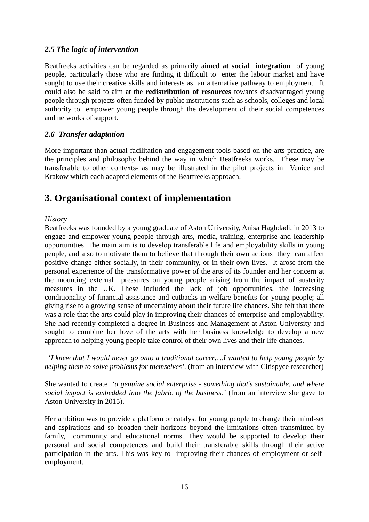### *2.5 The logic of intervention*

Beatfreeks activities can be regarded as primarily aimed **at social integration** of young people, particularly those who are finding it difficult to enter the labour market and have sought to use their creative skills and interests as an alternative pathway to employment. It could also be said to aim at the **redistribution of resources** towards disadvantaged young people through projects often funded by public institutions such as schools, colleges and local authority to empower young people through the development of their social competences and networks of support.

## *2.6 Transfer adaptation*

More important than actual facilitation and engagement tools based on the arts practice, are the principles and philosophy behind the way in which Beatfreeks works. These may be transferable to other contexts- as may be illustrated in the pilot projects in Venice and Krakow which each adapted elements of the Beatfreeks approach.

# <span id="page-15-0"></span>**3. Organisational context of implementation**

### *History*

Beatfreeks was founded by a young graduate of Aston University, Anisa Haghdadi, in 2013 to engage and empower young people through arts, media, training, enterprise and leadership opportunities. The main aim is to develop transferable life and employability skills in young people, and also to motivate them to believe that through their own actions they can affect positive change either socially, in their community, or in their own lives. It arose from the personal experience of the transformative power of the arts of its founder and her concern at the mounting external pressures on young people arising from the impact of austerity measures in the UK. These included the lack of job opportunities, the increasing conditionality of financial assistance and cutbacks in welfare benefits for young people; all giving rise to a growing sense of uncertainty about their future life chances. She felt that there was a role that the arts could play in improving their chances of enterprise and employability. She had recently completed a degree in Business and Management at Aston University and sought to combine her love of the arts with her business knowledge to develop a new approach to helping young people take control of their own lives and their life chances.

 '*I knew that I would never go onto a traditional career….I wanted to help young people by helping them to solve problems for themselves'.* (from an interview with Citispyce researcher)

She wanted to create *'a genuine social enterprise - something that's sustainable, and where social impact is embedded into the fabric of the business.'* (from an interview she gave to Aston University in 2015).

Her ambition was to provide a platform or catalyst for young people to change their mind-set and aspirations and so broaden their horizons beyond the limitations often transmitted by family, community and educational norms. They would be supported to develop their personal and social competences and build their transferable skills through their active participation in the arts. This was key to improving their chances of employment or selfemployment.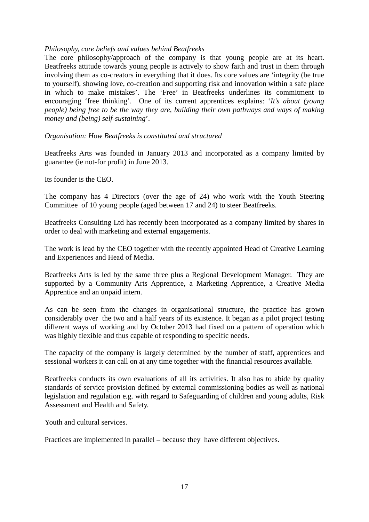### *Philosophy, core beliefs and values behind Beatfreeks*

The core philosophy/approach of the company is that young people are at its heart. Beatfreeks attitude towards young people is actively to show faith and trust in them through involving them as co-creators in everything that it does. Its core values are 'integrity (be true to yourself), showing love, co-creation and supporting risk and innovation within a safe place in which to make mistakes'. The 'Free' in Beatfreeks underlines its commitment to encouraging 'free thinking'. One of its current apprentices explains: '*It's about (young people) being free to be the way they are, building their own pathways and ways of making money and (being) self-sustaining*'.

### *Organisation: How Beatfreeks is constituted and structured*

Beatfreeks Arts was founded in January 2013 and incorporated as a company limited by guarantee (ie not-for profit) in June 2013.

Its founder is the CEO.

The company has 4 Directors (over the age of 24) who work with the Youth Steering Committee of 10 young people (aged between 17 and 24) to steer Beatfreeks.

Beatfreeks Consulting Ltd has recently been incorporated as a company limited by shares in order to deal with marketing and external engagements.

The work is lead by the CEO together with the recently appointed Head of Creative Learning and Experiences and Head of Media.

Beatfreeks Arts is led by the same three plus a Regional Development Manager. They are supported by a Community Arts Apprentice, a Marketing Apprentice, a Creative Media Apprentice and an unpaid intern.

As can be seen from the changes in organisational structure, the practice has grown considerably over the two and a half years of its existence. It began as a pilot project testing different ways of working and by October 2013 had fixed on a pattern of operation which was highly flexible and thus capable of responding to specific needs.

The capacity of the company is largely determined by the number of staff, apprentices and sessional workers it can call on at any time together with the financial resources available.

Beatfreeks conducts its own evaluations of all its activities. It also has to abide by quality standards of service provision defined by external commissioning bodies as well as national legislation and regulation e.g. with regard to Safeguarding of children and young adults, Risk Assessment and Health and Safety.

Youth and cultural services.

Practices are implemented in parallel – because they have different objectives.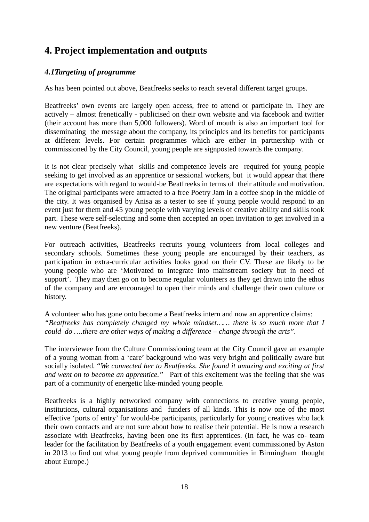# <span id="page-17-0"></span>**4. Project implementation and outputs**

# *4.1Targeting of programme*

As has been pointed out above, Beatfreeks seeks to reach several different target groups.

Beatfreeks' own events are largely open access, free to attend or participate in. They are actively – almost frenetically - publicised on their own website and via facebook and twitter (their account has more than 5,000 followers). Word of mouth is also an important tool for disseminating the message about the company, its principles and its benefits for participants at different levels. For certain programmes which are either in partnership with or commissioned by the City Council, young people are signposted towards the company.

It is not clear precisely what skills and competence levels are required for young people seeking to get involved as an apprentice or sessional workers, but it would appear that there are expectations with regard to would-be Beatfreeks in terms of their attitude and motivation. The original participants were attracted to a free Poetry Jam in a coffee shop in the middle of the city. It was organised by Anisa as a tester to see if young people would respond to an event just for them and 45 young people with varying levels of creative ability and skills took part. These were self-selecting and some then accepted an open invitation to get involved in a new venture (Beatfreeks).

For outreach activities, Beatfreeks recruits young volunteers from local colleges and secondary schools. Sometimes these young people are encouraged by their teachers, as participation in extra-curricular activities looks good on their CV. These are likely to be young people who are 'Motivated to integrate into mainstream society but in need of support'. They may then go on to become regular volunteers as they get drawn into the ethos of the company and are encouraged to open their minds and challenge their own culture or history.

A volunteer who has gone onto become a Beatfreeks intern and now an apprentice claims: *"Beatfreeks has completely changed my whole mindset…… there is so much more that I could do ….there are other ways of making a difference – change through the arts".* 

The interviewee from the Culture Commissioning team at the City Council gave an example of a young woman from a 'care' background who was very bright and politically aware but socially isolated. "*We connected her to Beatfreeks. She found it amazing and exciting at first and went on to become an apprentice."* Part of this excitement was the feeling that she was part of a community of energetic like-minded young people.

Beatfreeks is a highly networked company with connections to creative young people, institutions, cultural organisations and funders of all kinds. This is now one of the most effective 'ports of entry' for would-be participants, particularly for young creatives who lack their own contacts and are not sure about how to realise their potential. He is now a research associate with Beatfreeks, having been one its first apprentices. (In fact, he was co- team leader for the facilitation by Beatfreeks of a youth engagement event commissioned by Aston in 2013 to find out what young people from deprived communities in Birmingham thought about Europe.)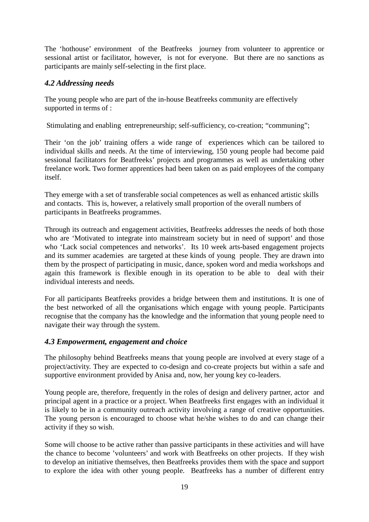The 'hothouse' environment of the Beatfreeks journey from volunteer to apprentice or sessional artist or facilitator, however, is not for everyone. But there are no sanctions as participants are mainly self-selecting in the first place.

## *4.2 Addressing needs*

The young people who are part of the in-house Beatfreeks community are effectively supported in terms of :

Stimulating and enabling entrepreneurship; self-sufficiency, co-creation; "communing";

Their 'on the job' training offers a wide range of experiences which can be tailored to individual skills and needs. At the time of interviewing, 150 young people had become paid sessional facilitators for Beatfreeks' projects and programmes as well as undertaking other freelance work. Two former apprentices had been taken on as paid employees of the company itself.

They emerge with a set of transferable social competences as well as enhanced artistic skills and contacts. This is, however, a relatively small proportion of the overall numbers of participants in Beatfreeks programmes.

Through its outreach and engagement activities, Beatfreeks addresses the needs of both those who are 'Motivated to integrate into mainstream society but in need of support' and those who 'Lack social competences and networks'. Its 10 week arts-based engagement projects and its summer academies are targeted at these kinds of young people. They are drawn into them by the prospect of participating in music, dance, spoken word and media workshops and again this framework is flexible enough in its operation to be able to deal with their individual interests and needs.

For all participants Beatfreeks provides a bridge between them and institutions. It is one of the best networked of all the organisations which engage with young people. Participants recognise that the company has the knowledge and the information that young people need to navigate their way through the system.

### *4.3 Empowerment, engagement and choice*

The philosophy behind Beatfreeks means that young people are involved at every stage of a project/activity. They are expected to co-design and co-create projects but within a safe and supportive environment provided by Anisa and, now, her young key co-leaders.

Young people are, therefore, frequently in the roles of design and delivery partner, actor and principal agent in a practice or a project. When Beatfreeks first engages with an individual it is likely to be in a community outreach activity involving a range of creative opportunities. The young person is encouraged to choose what he/she wishes to do and can change their activity if they so wish.

Some will choose to be active rather than passive participants in these activities and will have the chance to become 'volunteers' and work with Beatfreeks on other projects. If they wish to develop an initiative themselves, then Beatfreeks provides them with the space and support to explore the idea with other young people. Beatfreeks has a number of different entry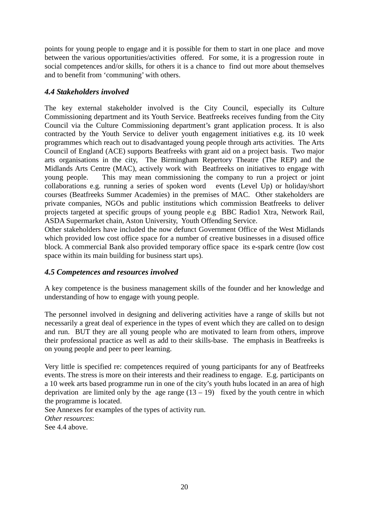points for young people to engage and it is possible for them to start in one place and move between the various opportunities/activities offered. For some, it is a progression route in social competences and/or skills, for others it is a chance to find out more about themselves and to benefit from 'communing' with others.

### *4.4 Stakeholders involved*

The key external stakeholder involved is the City Council, especially its Culture Commissioning department and its Youth Service. Beatfreeks receives funding from the City Council via the Culture Commissioning department's grant application process. It is also contracted by the Youth Service to deliver youth engagement initiatives e.g. its 10 week programmes which reach out to disadvantaged young people through arts activities. The Arts Council of England (ACE) supports Beatfreeks with grant aid on a project basis. Two major arts organisations in the city, The Birmingham Repertory Theatre (The REP) and the Midlands Arts Centre (MAC), actively work with Beatfreeks on initiatives to engage with young people. This may mean commissioning the company to run a project or joint collaborations e.g. running a series of spoken word events (Level Up) or holiday/short courses (Beatfreeks Summer Academies) in the premises of MAC. Other stakeholders are private companies, NGOs and public institutions which commission Beatfreeks to deliver projects targeted at specific groups of young people e.g BBC Radio1 Xtra, Network Rail, ASDA Supermarket chain, Aston University, Youth Offending Service.

Other stakeholders have included the now defunct Government Office of the West Midlands which provided low cost office space for a number of creative businesses in a disused office block. A commercial Bank also provided temporary office space its e-spark centre (low cost space within its main building for business start ups).

### *4.5 Competences and resources involved*

A key competence is the business management skills of the founder and her knowledge and understanding of how to engage with young people.

The personnel involved in designing and delivering activities have a range of skills but not necessarily a great deal of experience in the types of event which they are called on to design and run. BUT they are all young people who are motivated to learn from others, improve their professional practice as well as add to their skills-base. The emphasis in Beatfreeks is on young people and peer to peer learning.

Very little is specified re: competences required of young participants for any of Beatfreeks events. The stress is more on their interests and their readiness to engage. E.g. participants on a 10 week arts based programme run in one of the city's youth hubs located in an area of high deprivation are limited only by the age range  $(13 - 19)$  fixed by the youth centre in which the programme is located.

See Annexes for examples of the types of activity run. *Other resources*: See 4.4 above.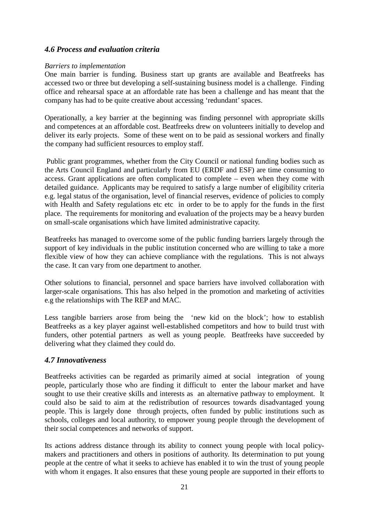### *4.6 Process and evaluation criteria*

### *Barriers to implementation*

One main barrier is funding. Business start up grants are available and Beatfreeks has accessed two or three but developing a self-sustaining business model is a challenge. Finding office and rehearsal space at an affordable rate has been a challenge and has meant that the company has had to be quite creative about accessing 'redundant' spaces.

Operationally, a key barrier at the beginning was finding personnel with appropriate skills and competences at an affordable cost. Beatfreeks drew on volunteers initially to develop and deliver its early projects. Some of these went on to be paid as sessional workers and finally the company had sufficient resources to employ staff.

Public grant programmes, whether from the City Council or national funding bodies such as the Arts Council England and particularly from EU (ERDF and ESF) are time consuming to access. Grant applications are often complicated to complete – even when they come with detailed guidance. Applicants may be required to satisfy a large number of eligibility criteria e.g. legal status of the organisation, level of financial reserves, evidence of policies to comply with Health and Safety regulations etc etc in order to be to apply for the funds in the first place. The requirements for monitoring and evaluation of the projects may be a heavy burden on small-scale organisations which have limited administrative capacity.

Beatfreeks has managed to overcome some of the public funding barriers largely through the support of key individuals in the public institution concerned who are willing to take a more flexible view of how they can achieve compliance with the regulations. This is not always the case. It can vary from one department to another.

Other solutions to financial, personnel and space barriers have involved collaboration with larger-scale organisations. This has also helped in the promotion and marketing of activities e.g the relationships with The REP and MAC.

Less tangible barriers arose from being the 'new kid on the block'; how to establish Beatfreeks as a key player against well-established competitors and how to build trust with funders, other potential partners as well as young people. Beatfreeks have succeeded by delivering what they claimed they could do.

### *4.7 Innovativeness*

Beatfreeks activities can be regarded as primarily aimed at social integration of young people, particularly those who are finding it difficult to enter the labour market and have sought to use their creative skills and interests as an alternative pathway to employment. It could also be said to aim at the redistribution of resources towards disadvantaged young people. This is largely done through projects, often funded by public institutions such as schools, colleges and local authority, to empower young people through the development of their social competences and networks of support.

Its actions address distance through its ability to connect young people with local policymakers and practitioners and others in positions of authority. Its determination to put young people at the centre of what it seeks to achieve has enabled it to win the trust of young people with whom it engages. It also ensures that these young people are supported in their efforts to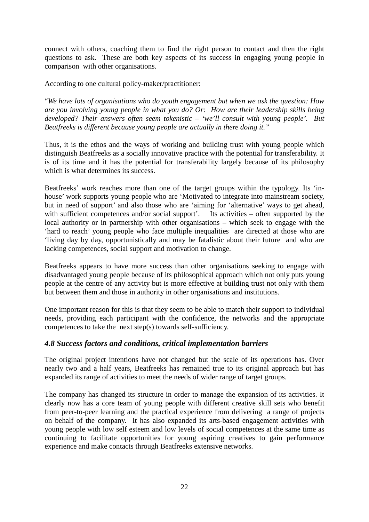connect with others, coaching them to find the right person to contact and then the right questions to ask. These are both key aspects of its success in engaging young people in comparison with other organisations.

According to one cultural policy-maker/practitioner:

"*We have lots of organisations who do youth engagement but when we ask the question: How are you involving young people in what you do? Or: How are their leadership skills being developed? Their answers often seem tokenistic – 'we'll consult with young people'. But Beatfreeks is different because young people are actually in there doing it."*

Thus, it is the ethos and the ways of working and building trust with young people which distinguish Beatfreeks as a socially innovative practice with the potential for transferability. It is of its time and it has the potential for transferability largely because of its philosophy which is what determines its success.

Beatfreeks' work reaches more than one of the target groups within the typology. Its 'inhouse' work supports young people who are 'Motivated to integrate into mainstream society, but in need of support' and also those who are 'aiming for 'alternative' ways to get ahead, with sufficient competences and/or social support'. Its activities – often supported by the local authority or in partnership with other organisations – which seek to engage with the 'hard to reach' young people who face multiple inequalities are directed at those who are 'living day by day, opportunistically and may be fatalistic about their future and who are lacking competences, social support and motivation to change.

Beatfreeks appears to have more success than other organisations seeking to engage with disadvantaged young people because of its philosophical approach which not only puts young people at the centre of any activity but is more effective at building trust not only with them but between them and those in authority in other organisations and institutions.

One important reason for this is that they seem to be able to match their support to individual needs, providing each participant with the confidence, the networks and the appropriate competences to take the next step(s) towards self-sufficiency.

## *4.8 Success factors and conditions, critical implementation barriers*

The original project intentions have not changed but the scale of its operations has. Over nearly two and a half years, Beatfreeks has remained true to its original approach but has expanded its range of activities to meet the needs of wider range of target groups.

The company has changed its structure in order to manage the expansion of its activities. It clearly now has a core team of young people with different creative skill sets who benefit from peer-to-peer learning and the practical experience from delivering a range of projects on behalf of the company. It has also expanded its arts-based engagement activities with young people with low self esteem and low levels of social competences at the same time as continuing to facilitate opportunities for young aspiring creatives to gain performance experience and make contacts through Beatfreeks extensive networks.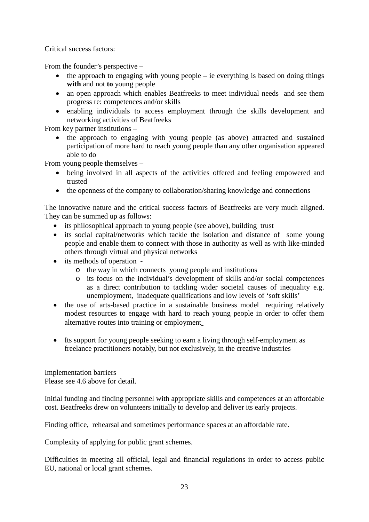Critical success factors:

From the founder's perspective –

- the approach to engaging with young people ie everything is based on doing things **with** and not **to** young people
- an open approach which enables Beatfreeks to meet individual needs and see them progress re: competences and/or skills
- enabling individuals to access employment through the skills development and networking activities of Beatfreeks

From key partner institutions –

• the approach to engaging with young people (as above) attracted and sustained participation of more hard to reach young people than any other organisation appeared able to do

From young people themselves –

- being involved in all aspects of the activities offered and feeling empowered and trusted
- the openness of the company to collaboration/sharing knowledge and connections

The innovative nature and the critical success factors of Beatfreeks are very much aligned. They can be summed up as follows:

- its philosophical approach to young people (see above), building trust
- its social capital/networks which tackle the isolation and distance of some young people and enable them to connect with those in authority as well as with like-minded others through virtual and physical networks
- its methods of operation
	- o the way in which connects young people and institutions
	- o its focus on the individual's development of skills and/or social competences as a direct contribution to tackling wider societal causes of inequality e.g. unemployment, inadequate qualifications and low levels of 'soft skills'
- the use of arts-based practice in a sustainable business model requiring relatively modest resources to engage with hard to reach young people in order to offer them alternative routes into training or employment
- Its support for young people seeking to earn a living through self-employment as freelance practitioners notably, but not exclusively, in the creative industries

Implementation barriers Please see 4.6 above for detail.

Initial funding and finding personnel with appropriate skills and competences at an affordable cost. Beatfreeks drew on volunteers initially to develop and deliver its early projects.

Finding office, rehearsal and sometimes performance spaces at an affordable rate.

Complexity of applying for public grant schemes.

Difficulties in meeting all official, legal and financial regulations in order to access public EU, national or local grant schemes.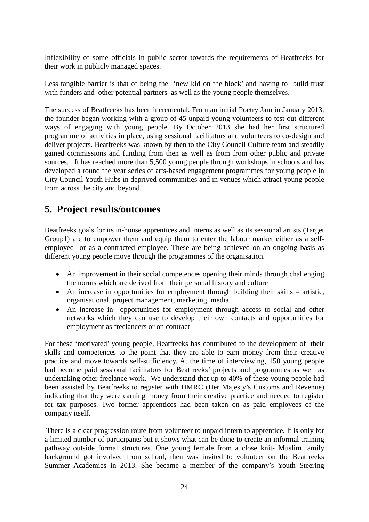Inflexibility of some officials in public sector towards the requirements of Beatfreeks for their work in publicly managed spaces.

Less tangible barrier is that of being the 'new kid on the block' and having to build trust with funders and other potential partners as well as the young people themselves.

The success of Beatfreeks has been incremental. From an initial Poetry Jam in January 2013, the founder began working with a group of 45 unpaid young volunteers to test out different ways of engaging with young people. By October 2013 she had her first structured programme of activities in place, using sessional facilitators and volunteers to co-design and deliver projects. Beatfreeks was known by then to the City Council Culture team and steadily gained commissions and funding from then as well as from from other public and private sources. It has reached more than 5,500 young people through workshops in schools and has developed a round the year series of arts-based engagement programmes for young people in City Council Youth Hubs in deprived communities and in venues which attract young people from across the city and beyond.

# <span id="page-23-0"></span>**5. Project results/outcomes**

Beatfreeks goals for its in-house apprentices and interns as well as its sessional artists (Target Group1) are to empower them and equip them to enter the labour market either as a selfemployed or as a contracted employee. These are being achieved on an ongoing basis as different young people move through the programmes of the organisation.

- An improvement in their social competences opening their minds through challenging the norms which are derived from their personal history and culture
- An increase in opportunities for employment through building their skills artistic, organisational, project management, marketing, media
- An increase in opportunities for employment through access to social and other networks which they can use to develop their own contacts and opportunities for employment as freelancers or on contract

For these 'motivated' young people, Beatfreeks has contributed to the development of their skills and competences to the point that they are able to earn money from their creative practice and move towards self-sufficiency. At the time of interviewing, 150 young people had become paid sessional facilitators for Beatfreeks' projects and programmes as well as undertaking other freelance work. We understand that up to 40% of these young people had been assisted by Beatfreeks to register with HMRC (Her Majesty's Customs and Revenue) indicating that they were earning money from their creative practice and needed to register for tax purposes. Two former apprentices had been taken on as paid employees of the company itself.

There is a clear progression route from volunteer to unpaid intern to apprentice. It is only for a limited number of participants but it shows what can be done to create an informal training pathway outside formal structures. One young female from a close knit- Muslim family background got involved from school, then was invited to volunteer on the Beatfreeks Summer Academies in 2013. She became a member of the company's Youth Steering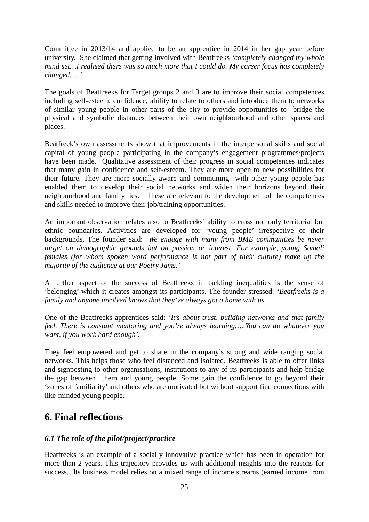Committee in 2013/14 and applied to be an apprentice in 2014 in her gap year before university. She claimed that getting involved with Beatfreeks *'completely changed my whole mind set…I realised there was so much more that I could do. My career focus has completely changed…..'*

The goals of Beatfreeks for Target groups 2 and 3 are to improve their social competences including self-esteem, confidence, ability to relate to others and introduce them to networks of similar young people in other parts of the city to provide opportunities to bridge the physical and symbolic distances between their own neighbourhood and other spaces and places.

Beatfreek's own assessments show that improvements in the interpersonal skills and social capital of young people participating in the company's engagement programmes/projects have been made. Qualitative assessment of their progress in social competences indicates that many gain in confidence and self-esteem. They are more open to new possibilities for their future. They are more socially aware and communing with other young people has enabled them to develop their social networks and widen their horizons beyond their neighbourhood and family ties. These are relevant to the development of the competences and skills needed to improve their job/training opportunities.

An important observation relates also to Beatfreeks' ability to cross not only territorial but ethnic boundaries. Activities are developed for 'young people' irrespective of their backgrounds. The founder said: '*We engage with many from BME communities be never target on demographic grounds but on passion or interest. For example, young Somali females (for whom spoken word performance is not part of their culture) make up the majority of the audience at our Poetry Jams.'*

A further aspect of the success of Beatfreeks in tackling inequalities is the sense of 'belonging' which it creates amongst its participants. The founder stressed: *'Beatfreeks is a family and anyone involved knows that they've always got a home with us. '*

One of the Beatfreeks apprentices said: *'It's about trust, building networks and that family feel. There is constant mentoring and you're always learning…..You can do whatever you want, if you work hard enough'.* 

They feel empowered and get to share in the company's strong and wide ranging social networks. This helps those who feel distanced and isolated. Beatfreeks is able to offer links and signposting to other organisations, institutions to any of its participants and help bridge the gap between them and young people. Some gain the confidence to go beyond their 'zones of familiarity' and others who are motivated but without support find connections with like-minded young people.

# <span id="page-24-0"></span>**6. Final reflections**

## *6.1 The role of the pilot/project/practice*

Beatfreeks is an example of a socially innovative practice which has been in operation for more than 2 years. This trajectory provides us with additional insights into the reasons for success. Its business model relies on a mixed range of income streams (earned income from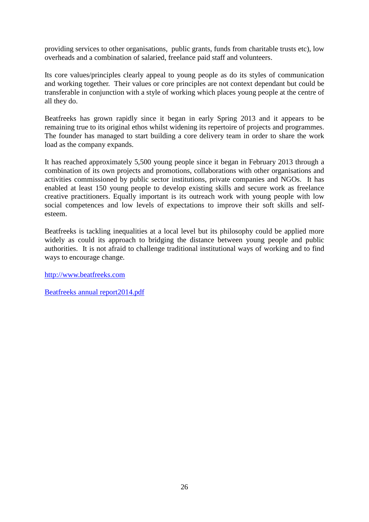providing services to other organisations, public grants, funds from charitable trusts etc), low overheads and a combination of salaried, freelance paid staff and volunteers.

Its core values/principles clearly appeal to young people as do its styles of communication and working together. Their values or core principles are not context dependant but could be transferable in conjunction with a style of working which places young people at the centre of all they do.

Beatfreeks has grown rapidly since it began in early Spring 2013 and it appears to be remaining true to its original ethos whilst widening its repertoire of projects and programmes. The founder has managed to start building a core delivery team in order to share the work load as the company expands.

It has reached approximately 5,500 young people since it began in February 2013 through a combination of its own projects and promotions, collaborations with other organisations and activities commissioned by public sector institutions, private companies and NGOs. It has enabled at least 150 young people to develop existing skills and secure work as freelance creative practitioners. Equally important is its outreach work with young people with low social competences and low levels of expectations to improve their soft skills and selfesteem.

Beatfreeks is tackling inequalities at a local level but its philosophy could be applied more widely as could its approach to bridging the distance between young people and public authorities. It is not afraid to challenge traditional institutional ways of working and to find ways to encourage change.

[http://www.beatfreeks.com](http://www.beatfreeks.com/)

[Beatfreeks annual report2014.pdf](http://static1.squarespace.com/static/5358eee0e4b004bfb6148e92/t/54907b91e4b05d9d70d4558d/1418754961797/Beatfreeks+Annual+Report+2014.pdf)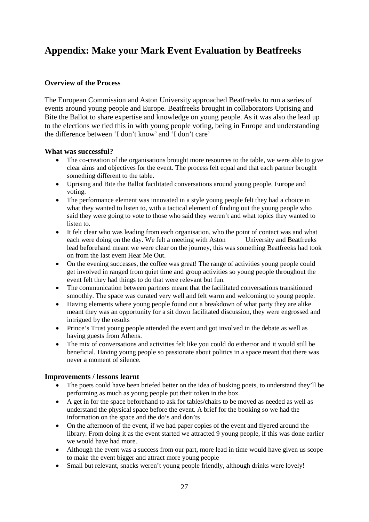# <span id="page-26-0"></span>**Appendix: Make your Mark Event Evaluation by Beatfreeks**

### **Overview of the Process**

The European Commission and Aston University approached Beatfreeks to run a series of events around young people and Europe. Beatfreeks brought in collaborators Uprising and Bite the Ballot to share expertise and knowledge on young people. As it was also the lead up to the elections we tied this in with young people voting, being in Europe and understanding the difference between 'I don't know' and 'I don't care'

#### **What was successful?**

- The co-creation of the organisations brought more resources to the table, we were able to give clear aims and objectives for the event. The process felt equal and that each partner brought something different to the table.
- Uprising and Bite the Ballot facilitated conversations around young people, Europe and voting.
- The performance element was innovated in a style young people felt they had a choice in what they wanted to listen to, with a tactical element of finding out the young people who said they were going to vote to those who said they weren't and what topics they wanted to listen to.
- It felt clear who was leading from each organisation, who the point of contact was and what each were doing on the day. We felt a meeting with Aston University and Beatfreeks lead beforehand meant we were clear on the journey, this was something Beatfreeks had took on from the last event Hear Me Out.
- On the evening successes, the coffee was great! The range of activities young people could get involved in ranged from quiet time and group activities so young people throughout the event felt they had things to do that were relevant but fun.
- The communication between partners meant that the facilitated conversations transitioned smoothly. The space was curated very well and felt warm and welcoming to young people.
- Having elements where young people found out a breakdown of what party they are alike meant they was an opportunity for a sit down facilitated discussion, they were engrossed and intrigued by the results
- Prince's Trust young people attended the event and got involved in the debate as well as having guests from Athens.
- The mix of conversations and activities felt like you could do either/or and it would still be beneficial. Having young people so passionate about politics in a space meant that there was never a moment of silence.

### **Improvements / lessons learnt**

- The poets could have been briefed better on the idea of busking poets, to understand they'll be performing as much as young people put their token in the box.
- A get in for the space beforehand to ask for tables/chairs to be moved as needed as well as understand the physical space before the event. A brief for the booking so we had the information on the space and the do's and don'ts
- On the afternoon of the event, if we had paper copies of the event and flyered around the library. From doing it as the event started we attracted 9 young people, if this was done earlier we would have had more.
- Although the event was a success from our part, more lead in time would have given us scope to make the event bigger and attract more young people
- Small but relevant, snacks weren't young people friendly, although drinks were lovely!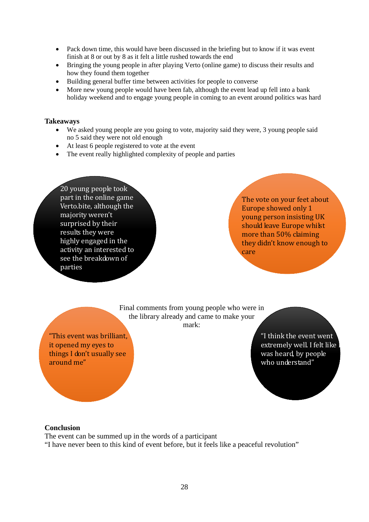- Pack down time, this would have been discussed in the briefing but to know if it was event finish at 8 or out by 8 as it felt a little rushed towards the end
- Bringing the young people in after playing Verto (online game) to discuss their results and how they found them together
- Building general buffer time between activities for people to converse
- More new young people would have been fab, although the event lead up fell into a bank holiday weekend and to engage young people in coming to an event around politics was hard

#### **Takeaways**

- We asked young people are you going to vote, majority said they were, 3 young people said no 5 said they were not old enough
- At least 6 people registered to vote at the event
- The event really highlighted complexity of people and parties

20 young people took part in the online game Verto.bite, although the majority weren't surprised by their results they were highly engaged in the activity an interested to see the breakdown of parties

The vote on your feet about Europe showed only 1 young person insisting UK should leave Europe whilst more than 50% claiming they didn't know enough to care

Final comments from young people who were in the library already and came to make your mark:

"This event was brilliant, it opened my eyes to things I don't usually see around me"

"I think the event went extremely well. I felt like was heard, by people who understand"

#### **Conclusion**

The event can be summed up in the words of a participant

"I have never been to this kind of event before, but it feels like a peaceful revolution"